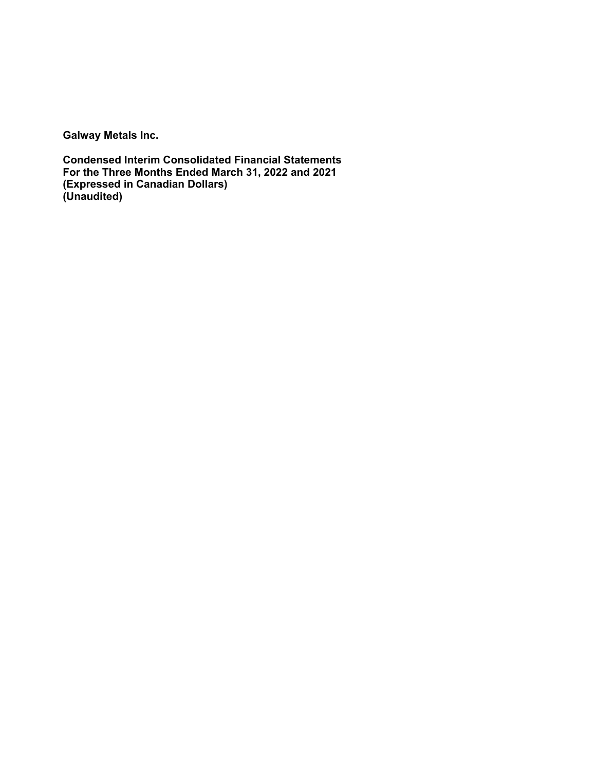**Galway Metals Inc.**

**Condensed Interim Consolidated Financial Statements For the Three Months Ended March 31, 2022 and 2021 (Expressed in Canadian Dollars) (Unaudited)**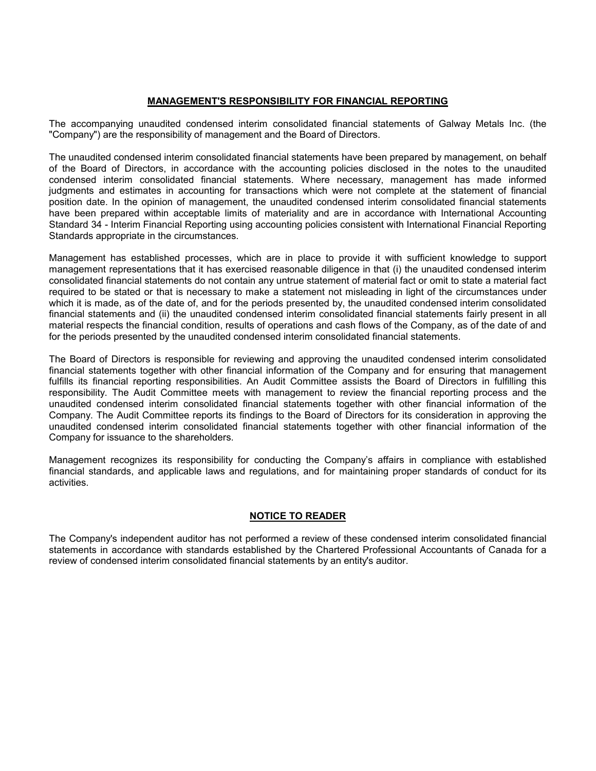# **MANAGEMENT'S RESPONSIBILITY FOR FINANCIAL REPORTING**

The accompanying unaudited condensed interim consolidated financial statements of Galway Metals Inc. (the "Company") are the responsibility of management and the Board of Directors.

The unaudited condensed interim consolidated financial statements have been prepared by management, on behalf of the Board of Directors, in accordance with the accounting policies disclosed in the notes to the unaudited condensed interim consolidated financial statements. Where necessary, management has made informed judgments and estimates in accounting for transactions which were not complete at the statement of financial position date. In the opinion of management, the unaudited condensed interim consolidated financial statements have been prepared within acceptable limits of materiality and are in accordance with International Accounting Standard 34 - Interim Financial Reporting using accounting policies consistent with International Financial Reporting Standards appropriate in the circumstances.

Management has established processes, which are in place to provide it with sufficient knowledge to support management representations that it has exercised reasonable diligence in that (i) the unaudited condensed interim consolidated financial statements do not contain any untrue statement of material fact or omit to state a material fact required to be stated or that is necessary to make a statement not misleading in light of the circumstances under which it is made, as of the date of, and for the periods presented by, the unaudited condensed interim consolidated financial statements and (ii) the unaudited condensed interim consolidated financial statements fairly present in all material respects the financial condition, results of operations and cash flows of the Company, as of the date of and for the periods presented by the unaudited condensed interim consolidated financial statements.

The Board of Directors is responsible for reviewing and approving the unaudited condensed interim consolidated financial statements together with other financial information of the Company and for ensuring that management fulfills its financial reporting responsibilities. An Audit Committee assists the Board of Directors in fulfilling this responsibility. The Audit Committee meets with management to review the financial reporting process and the unaudited condensed interim consolidated financial statements together with other financial information of the Company. The Audit Committee reports its findings to the Board of Directors for its consideration in approving the unaudited condensed interim consolidated financial statements together with other financial information of the Company for issuance to the shareholders.

Management recognizes its responsibility for conducting the Company's affairs in compliance with established financial standards, and applicable laws and regulations, and for maintaining proper standards of conduct for its activities.

# **NOTICE TO READER**

The Company's independent auditor has not performed a review of these condensed interim consolidated financial statements in accordance with standards established by the Chartered Professional Accountants of Canada for a review of condensed interim consolidated financial statements by an entity's auditor.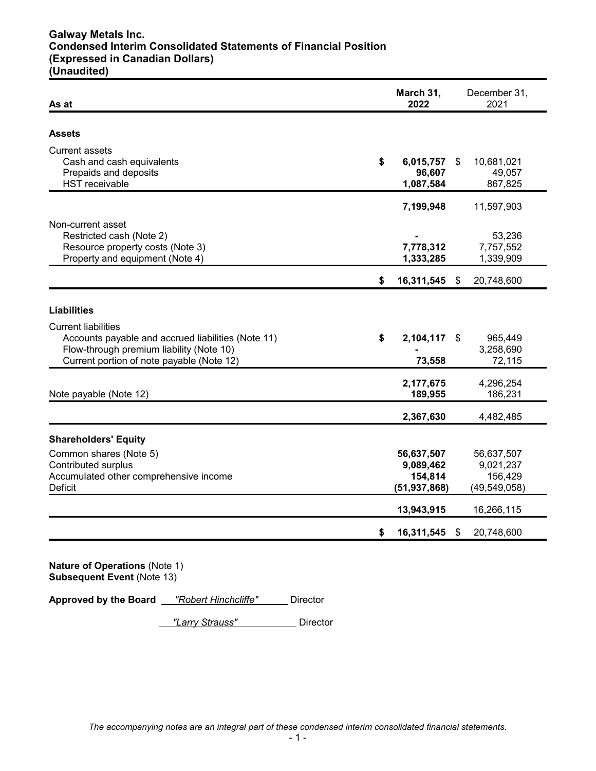# **Galway Metals Inc. Condensed Interim Consolidated Statements of Financial Position (Expressed in Canadian Dollars) (Unaudited)**

| As at                                                                                                                                                                     | March 31,<br>2022                                    |    | December 31,<br>2021                                 |
|---------------------------------------------------------------------------------------------------------------------------------------------------------------------------|------------------------------------------------------|----|------------------------------------------------------|
| Assets                                                                                                                                                                    |                                                      |    |                                                      |
| <b>Current assets</b><br>Cash and cash equivalents<br>Prepaids and deposits<br><b>HST</b> receivable                                                                      | \$<br>6,015,757<br>96,607<br>1,087,584               | \$ | 10,681,021<br>49,057<br>867,825                      |
|                                                                                                                                                                           | 7,199,948                                            |    | 11,597,903                                           |
| Non-current asset<br>Restricted cash (Note 2)<br>Resource property costs (Note 3)<br>Property and equipment (Note 4)                                                      | 7,778,312<br>1,333,285                               |    | 53,236<br>7,757,552<br>1,339,909                     |
|                                                                                                                                                                           | \$<br>16,311,545                                     | \$ | 20,748,600                                           |
| <b>Liabilities</b>                                                                                                                                                        |                                                      |    |                                                      |
| <b>Current liabilities</b><br>Accounts payable and accrued liabilities (Note 11)<br>Flow-through premium liability (Note 10)<br>Current portion of note payable (Note 12) | \$<br>2,104,117<br>73,558                            | S  | 965,449<br>3,258,690<br>72,115                       |
| Note payable (Note 12)                                                                                                                                                    | 2,177,675<br>189,955                                 |    | 4,296,254<br>186,231                                 |
|                                                                                                                                                                           | 2,367,630                                            |    | 4,482,485                                            |
| <b>Shareholders' Equity</b>                                                                                                                                               |                                                      |    |                                                      |
| Common shares (Note 5)<br><b>Contributed surplus</b><br>Accumulated other comprehensive income<br>Deficit                                                                 | 56,637,507<br>9,089,462<br>154,814<br>(51, 937, 868) |    | 56,637,507<br>9,021,237<br>156,429<br>(49, 549, 058) |
|                                                                                                                                                                           | 13,943,915                                           |    | 16,266,115                                           |
|                                                                                                                                                                           |                                                      |    |                                                      |

**Approved by the Board** *"Robert Hinchcliffe"* Director

*"Larry Strauss"* Director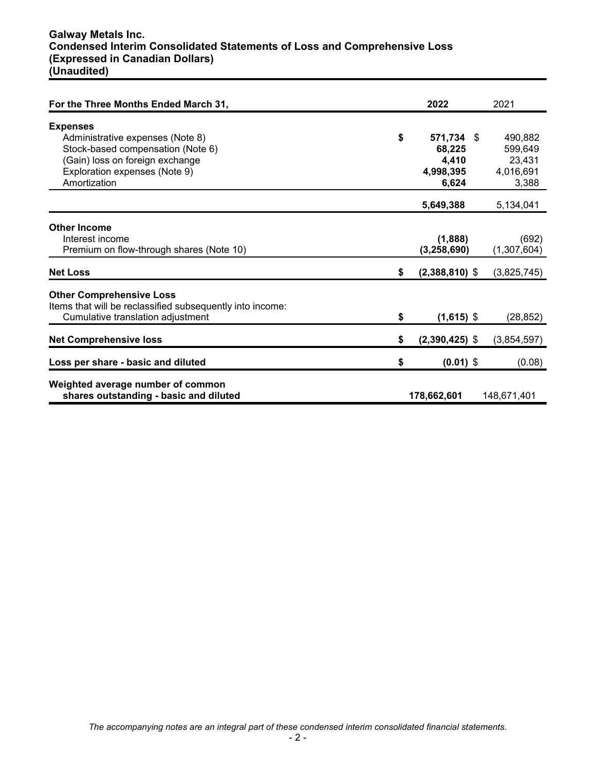# **Galway Metals Inc. Condensed Interim Consolidated Statements of Loss and Comprehensive Loss (Expressed in Canadian Dollars) (Unaudited)**

| For the Three Months Ended March 31,                                                                                                                                         | 2022                                                      | 2021                                               |
|------------------------------------------------------------------------------------------------------------------------------------------------------------------------------|-----------------------------------------------------------|----------------------------------------------------|
| <b>Expenses</b><br>Administrative expenses (Note 8)<br>Stock-based compensation (Note 6)<br>(Gain) loss on foreign exchange<br>Exploration expenses (Note 9)<br>Amortization | \$<br>571,734 \$<br>68,225<br>4,410<br>4,998,395<br>6,624 | 490,882<br>599,649<br>23,431<br>4,016,691<br>3,388 |
|                                                                                                                                                                              | 5,649,388                                                 | 5,134,041                                          |
| <b>Other Income</b><br>Interest income<br>Premium on flow-through shares (Note 10)<br><b>Net Loss</b>                                                                        | \$<br>(1,888)<br>(3, 258, 690)<br>$(2,388,810)$ \$        | (692)<br>(1,307,604)<br>(3,825,745)                |
| <b>Other Comprehensive Loss</b><br>Items that will be reclassified subsequently into income:<br>Cumulative translation adjustment                                            | \$<br>$(1,615)$ \$                                        | (28, 852)                                          |
| <b>Net Comprehensive loss</b>                                                                                                                                                | \$<br>$(2,390,425)$ \$                                    | (3,854,597)                                        |
| Loss per share - basic and diluted                                                                                                                                           | \$<br>$(0.01)$ \$                                         | (0.08)                                             |
| Weighted average number of common<br>shares outstanding - basic and diluted                                                                                                  | 178,662,601                                               | 148,671,401                                        |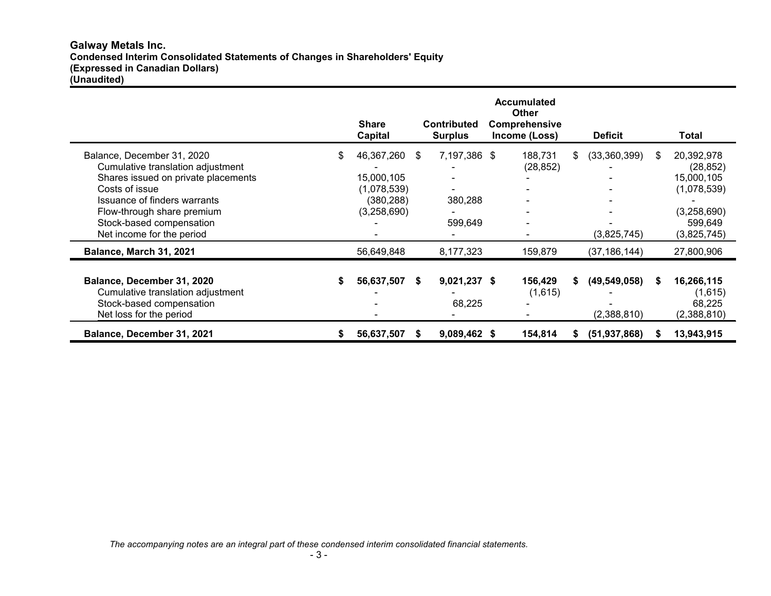# **Galway Metals Inc. Condensed Interim Consolidated Statements of Changes in Shareholders' Equity (Expressed in Canadian Dollars) (Unaudited)**

|                                                                                                                                                                                                                                                 |     | <b>Share</b><br>Capital                                              |     | <b>Contributed</b><br><b>Surplus</b> | <b>Accumulated</b><br><b>Other</b><br>Comprehensive<br>Income (Loss) |    | <b>Deficit</b>                |   | Total                                                                                         |
|-------------------------------------------------------------------------------------------------------------------------------------------------------------------------------------------------------------------------------------------------|-----|----------------------------------------------------------------------|-----|--------------------------------------|----------------------------------------------------------------------|----|-------------------------------|---|-----------------------------------------------------------------------------------------------|
| Balance, December 31, 2020<br>Cumulative translation adjustment<br>Shares issued on private placements<br>Costs of issue<br>Issuance of finders warrants<br>Flow-through share premium<br>Stock-based compensation<br>Net income for the period | \$. | 46,367,260<br>15,000,105<br>(1,078,539)<br>(380, 288)<br>(3,258,690) | \$. | 7,197,386 \$<br>380,288<br>599,649   | 188,731<br>(28, 852)<br>-                                            | S. | (33,360,399)<br>(3,825,745)   | S | 20,392,978<br>(28, 852)<br>15,000,105<br>(1,078,539)<br>(3,258,690)<br>599,649<br>(3,825,745) |
| Balance, March 31, 2021                                                                                                                                                                                                                         |     | 56,649,848                                                           |     | 8,177,323                            | 159,879                                                              |    | (37, 186, 144)                |   | 27,800,906                                                                                    |
| Balance, December 31, 2020<br>Cumulative translation adjustment<br>Stock-based compensation<br>Net loss for the period                                                                                                                          |     | 56,637,507                                                           | S   | $9,021,237$ \$<br>68,225             | 156,429<br>(1,615)                                                   |    | (49, 549, 058)<br>(2,388,810) |   | 16,266,115<br>(1,615)<br>68,225<br>(2,388,810)                                                |
| Balance, December 31, 2021                                                                                                                                                                                                                      | S   | 56,637,507                                                           | S.  | 9,089,462 \$                         | 154,814                                                              |    | (51, 937, 868)                |   | 13,943,915                                                                                    |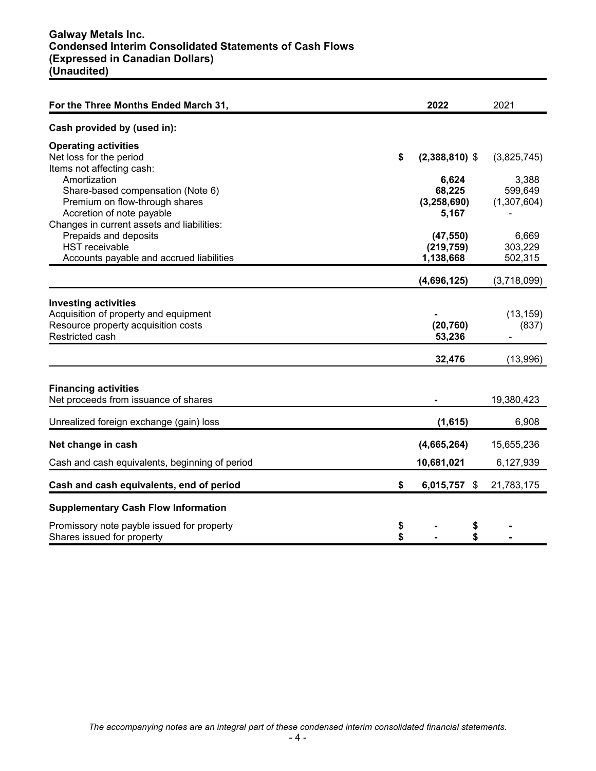| For the Three Months Ended March 31,           | 2022                   | 2021        |
|------------------------------------------------|------------------------|-------------|
| Cash provided by (used in):                    |                        |             |
| <b>Operating activities</b>                    |                        |             |
| Net loss for the period                        | \$<br>$(2,388,810)$ \$ | (3,825,745) |
| Items not affecting cash:                      |                        |             |
| Amortization                                   | 6,624                  | 3,388       |
| Share-based compensation (Note 6)              | 68,225                 | 599,649     |
| Premium on flow-through shares                 | (3, 258, 690)          | (1,307,604) |
| Accretion of note payable                      | 5,167                  |             |
| Changes in current assets and liabilities:     |                        |             |
| Prepaids and deposits                          | (47, 550)              | 6,669       |
| <b>HST</b> receivable                          | (219, 759)             | 303,229     |
| Accounts payable and accrued liabilities       | 1,138,668              | 502,315     |
|                                                | (4,696,125)            | (3,718,099) |
|                                                |                        |             |
| <b>Investing activities</b>                    |                        |             |
| Acquisition of property and equipment          |                        | (13, 159)   |
| Resource property acquisition costs            | (20, 760)              | (837)       |
| Restricted cash                                | 53,236                 |             |
|                                                | 32,476                 | (13,996)    |
|                                                |                        |             |
| <b>Financing activities</b>                    |                        |             |
| Net proceeds from issuance of shares           |                        | 19,380,423  |
| Unrealized foreign exchange (gain) loss        | (1,615)                | 6,908       |
| Net change in cash                             | (4,665,264)            | 15,655,236  |
|                                                |                        |             |
| Cash and cash equivalents, beginning of period | 10,681,021             | 6,127,939   |
| Cash and cash equivalents, end of period       | \$<br>6,015,757 \$     | 21,783,175  |
| <b>Supplementary Cash Flow Information</b>     |                        |             |
| Promissory note payble issued for property     | \$<br>\$               |             |
| Shares issued for property                     | \$<br>\$               |             |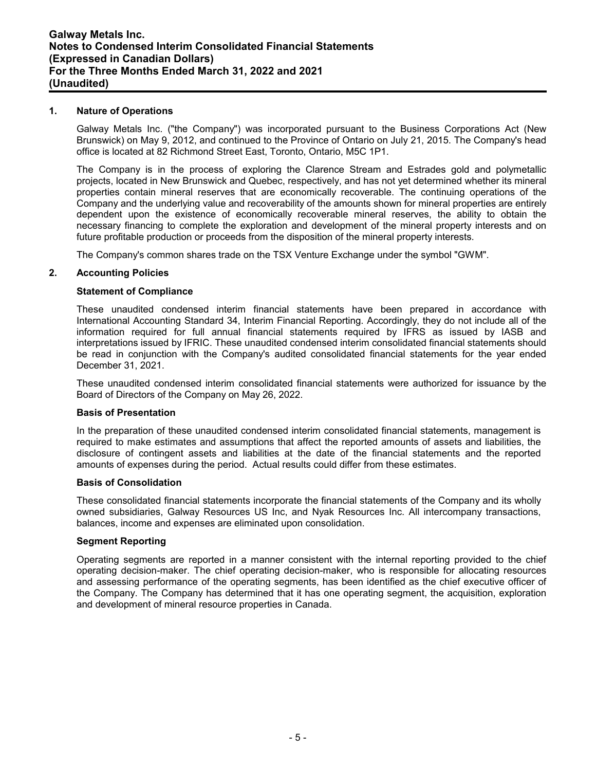#### **1. Nature of Operations**

Galway Metals Inc. ("the Company") was incorporated pursuant to the Business Corporations Act (New Brunswick) on May 9, 2012, and continued to the Province of Ontario on July 21, 2015. The Company's head office is located at 82 Richmond Street East, Toronto, Ontario, M5C 1P1.

The Company is in the process of exploring the Clarence Stream and Estrades gold and polymetallic projects, located in New Brunswick and Quebec, respectively, and has not yet determined whether its mineral properties contain mineral reserves that are economically recoverable. The continuing operations of the Company and the underlying value and recoverability of the amounts shown for mineral properties are entirely dependent upon the existence of economically recoverable mineral reserves, the ability to obtain the necessary financing to complete the exploration and development of the mineral property interests and on future profitable production or proceeds from the disposition of the mineral property interests.

The Company's common shares trade on the TSX Venture Exchange under the symbol "GWM".

# **2. Accounting Policies**

# **Statement of Compliance**

These unaudited condensed interim financial statements have been prepared in accordance with International Accounting Standard 34, Interim Financial Reporting. Accordingly, they do not include all of the information required for full annual financial statements required by IFRS as issued by IASB and interpretations issued by IFRIC. These unaudited condensed interim consolidated financial statements should be read in conjunction with the Company's audited consolidated financial statements for the year ended December 31, 2021.

These unaudited condensed interim consolidated financial statements were authorized for issuance by the Board of Directors of the Company on May 26, 2022.

#### **Basis of Presentation**

In the preparation of these unaudited condensed interim consolidated financial statements, management is required to make estimates and assumptions that affect the reported amounts of assets and liabilities, the disclosure of contingent assets and liabilities at the date of the financial statements and the reported amounts of expenses during the period. Actual results could differ from these estimates.

#### **Basis of Consolidation**

These consolidated financial statements incorporate the financial statements of the Company and its wholly owned subsidiaries, Galway Resources US Inc, and Nyak Resources Inc. All intercompany transactions, balances, income and expenses are eliminated upon consolidation.

#### **Segment Reporting**

Operating segments are reported in a manner consistent with the internal reporting provided to the chief operating decision-maker. The chief operating decision-maker, who is responsible for allocating resources and assessing performance of the operating segments, has been identified as the chief executive officer of the Company. The Company has determined that it has one operating segment, the acquisition, exploration and development of mineral resource properties in Canada.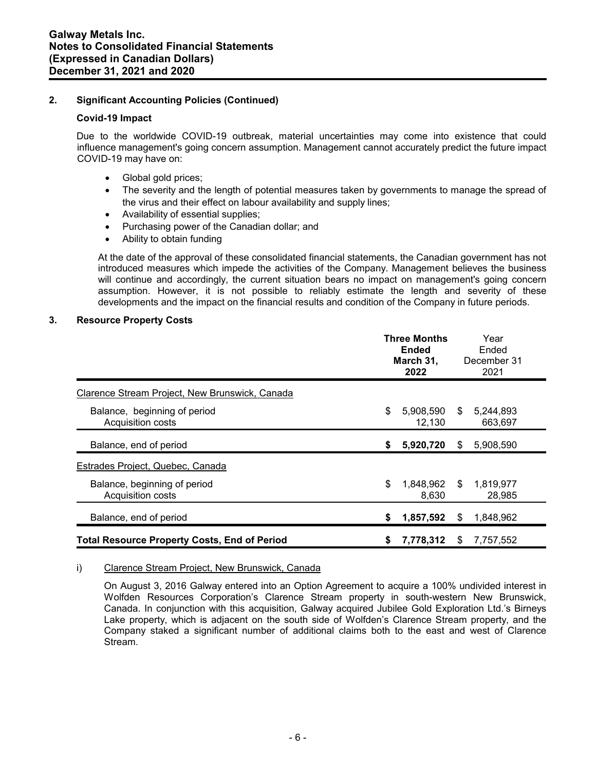# **2. Significant Accounting Policies (Continued)**

#### **Covid-19 Impact**

Due to the worldwide COVID-19 outbreak, material uncertainties may come into existence that could influence management's going concern assumption. Management cannot accurately predict the future impact COVID-19 may have on:

- Global gold prices;
- The severity and the length of potential measures taken by governments to manage the spread of the virus and their effect on labour availability and supply lines;
- Availability of essential supplies;
- Purchasing power of the Canadian dollar; and
- Ability to obtain funding

At the date of the approval of these consolidated financial statements, the Canadian government has not introduced measures which impede the activities of the Company. Management believes the business will continue and accordingly, the current situation bears no impact on management's going concern assumption. However, it is not possible to reliably estimate the length and severity of these developments and the impact on the financial results and condition of the Company in future periods.

#### **3. Resource Property Costs**

|                                                     |    | <b>Three Months</b><br>Ended<br>March 31,<br>2022 |      | Year<br>Ended<br>December 31<br>2021 |
|-----------------------------------------------------|----|---------------------------------------------------|------|--------------------------------------|
| Clarence Stream Project, New Brunswick, Canada      |    |                                                   |      |                                      |
| Balance, beginning of period<br>Acquisition costs   | \$ | 5,908,590<br>12,130                               | \$   | 5,244,893<br>663,697                 |
| Balance, end of period                              |    | 5,920,720                                         | S    | 5,908,590                            |
| Estrades Project, Quebec, Canada                    |    |                                                   |      |                                      |
| Balance, beginning of period<br>Acquisition costs   | \$ | 1,848,962<br>8,630                                | - \$ | 1,819,977<br>28,985                  |
| Balance, end of period                              | S  | 1,857,592                                         | S    | 1,848,962                            |
| <b>Total Resource Property Costs, End of Period</b> | 5  | 7,778,312                                         | S    | 7,757,552                            |

#### i) Clarence Stream Project, New Brunswick, Canada

On August 3, 2016 Galway entered into an Option Agreement to acquire a 100% undivided interest in Wolfden Resources Corporation's Clarence Stream property in south-western New Brunswick, Canada. In conjunction with this acquisition, Galway acquired Jubilee Gold Exploration Ltd.'s Birneys Lake property, which is adjacent on the south side of Wolfden's Clarence Stream property, and the Company staked a significant number of additional claims both to the east and west of Clarence Stream.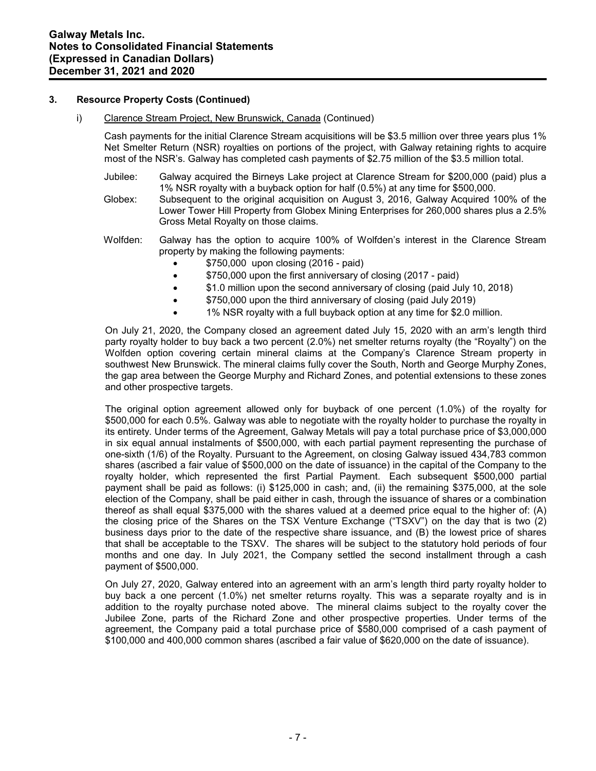#### **3. Resource Property Costs (Continued)**

#### i) Clarence Stream Project, New Brunswick, Canada (Continued)

Cash payments for the initial Clarence Stream acquisitions will be \$3.5 million over three years plus 1% Net Smelter Return (NSR) royalties on portions of the project, with Galway retaining rights to acquire most of the NSR's. Galway has completed cash payments of \$2.75 million of the \$3.5 million total.

- Jubilee: Galway acquired the Birneys Lake project at Clarence Stream for \$200,000 (paid) plus a 1% NSR royalty with a buyback option for half (0.5%) at any time for \$500,000.
- Globex: Subsequent to the original acquisition on August 3, 2016, Galway Acquired 100% of the Lower Tower Hill Property from Globex Mining Enterprises for 260,000 shares plus a 2.5% Gross Metal Royalty on those claims.
- Wolfden: Galway has the option to acquire 100% of Wolfden's interest in the Clarence Stream property by making the following payments:
	- \$750,000 upon closing (2016 paid)
	- $$750,000$  upon the first anniversary of closing (2017 paid)
	- \$1.0 million upon the second anniversary of closing (paid July 10, 2018)
	- $$750,000$  upon the third anniversary of closing (paid July 2019)
	- 1% NSR royalty with a full buyback option at any time for \$2.0 million.

On July 21, 2020, the Company closed an agreement dated July 15, 2020 with an arm's length third party royalty holder to buy back a two percent (2.0%) net smelter returns royalty (the "Royalty") on the Wolfden option covering certain mineral claims at the Company's Clarence Stream property in southwest New Brunswick. The mineral claims fully cover the South, North and George Murphy Zones, the gap area between the George Murphy and Richard Zones, and potential extensions to these zones and other prospective targets.

The original option agreement allowed only for buyback of one percent (1.0%) of the royalty for \$500,000 for each 0.5%. Galway was able to negotiate with the royalty holder to purchase the royalty in its entirety. Under terms of the Agreement, Galway Metals will pay a total purchase price of \$3,000,000 in six equal annual instalments of \$500,000, with each partial payment representing the purchase of one-sixth (1/6) of the Royalty. Pursuant to the Agreement, on closing Galway issued 434,783 common shares (ascribed a fair value of \$500,000 on the date of issuance) in the capital of the Company to the royalty holder, which represented the first Partial Payment. Each subsequent \$500,000 partial payment shall be paid as follows: (i) \$125,000 in cash; and, (ii) the remaining \$375,000, at the sole election of the Company, shall be paid either in cash, through the issuance of shares or a combination thereof as shall equal \$375,000 with the shares valued at a deemed price equal to the higher of: (A) the closing price of the Shares on the TSX Venture Exchange ("TSXV") on the day that is two (2) business days prior to the date of the respective share issuance, and (B) the lowest price of shares that shall be acceptable to the TSXV. The shares will be subject to the statutory hold periods of four months and one day. In July 2021, the Company settled the second installment through a cash payment of \$500,000.

On July 27, 2020, Galway entered into an agreement with an arm's length third party royalty holder to buy back a one percent (1.0%) net smelter returns royalty. This was a separate royalty and is in addition to the royalty purchase noted above. The mineral claims subject to the royalty cover the Jubilee Zone, parts of the Richard Zone and other prospective properties. Under terms of the agreement, the Company paid a total purchase price of \$580,000 comprised of a cash payment of \$100,000 and 400,000 common shares (ascribed a fair value of \$620,000 on the date of issuance).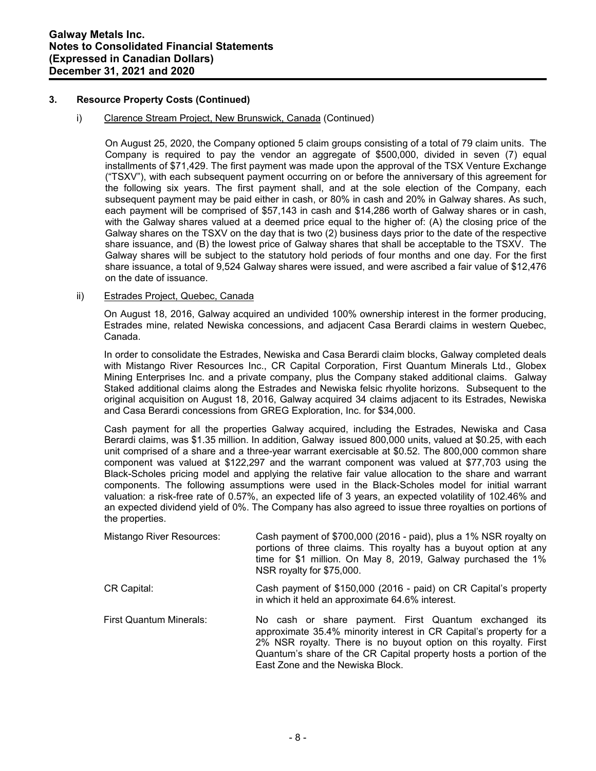# **3. Resource Property Costs (Continued)**

#### i) Clarence Stream Project, New Brunswick, Canada (Continued)

On August 25, 2020, the Company optioned 5 claim groups consisting of a total of 79 claim units. The Company is required to pay the vendor an aggregate of \$500,000, divided in seven (7) equal installments of \$71,429. The first payment was made upon the approval of the TSX Venture Exchange ("TSXV"), with each subsequent payment occurring on or before the anniversary of this agreement for the following six years. The first payment shall, and at the sole election of the Company, each subsequent payment may be paid either in cash, or 80% in cash and 20% in Galway shares. As such, each payment will be comprised of \$57,143 in cash and \$14,286 worth of Galway shares or in cash, with the Galway shares valued at a deemed price equal to the higher of: (A) the closing price of the Galway shares on the TSXV on the day that is two (2) business days prior to the date of the respective share issuance, and (B) the lowest price of Galway shares that shall be acceptable to the TSXV. The Galway shares will be subject to the statutory hold periods of four months and one day. For the first share issuance, a total of 9,524 Galway shares were issued, and were ascribed a fair value of \$12,476 on the date of issuance.

#### ii) Estrades Project, Quebec, Canada

On August 18, 2016, Galway acquired an undivided 100% ownership interest in the former producing, Estrades mine, related Newiska concessions, and adjacent Casa Berardi claims in western Quebec, Canada.

In order to consolidate the Estrades, Newiska and Casa Berardi claim blocks, Galway completed deals with Mistango River Resources Inc., CR Capital Corporation, First Quantum Minerals Ltd., Globex Mining Enterprises Inc. and a private company, plus the Company staked additional claims. Galway Staked additional claims along the Estrades and Newiska felsic rhyolite horizons. Subsequent to the original acquisition on August 18, 2016, Galway acquired 34 claims adjacent to its Estrades, Newiska and Casa Berardi concessions from GREG Exploration, Inc. for \$34,000.

Cash payment for all the properties Galway acquired, including the Estrades, Newiska and Casa Berardi claims, was \$1.35 million. In addition, Galway issued 800,000 units, valued at \$0.25, with each unit comprised of a share and a three-year warrant exercisable at \$0.52. The 800,000 common share component was valued at \$122,297 and the warrant component was valued at \$77,703 using the Black-Scholes pricing model and applying the relative fair value allocation to the share and warrant components. The following assumptions were used in the Black-Scholes model for initial warrant valuation: a risk-free rate of 0.57%, an expected life of 3 years, an expected volatility of 102.46% and an expected dividend yield of 0%. The Company has also agreed to issue three royalties on portions of the properties.

| Mistango River Resources:      | Cash payment of \$700,000 (2016 - paid), plus a 1% NSR royalty on<br>portions of three claims. This royalty has a buyout option at any<br>time for \$1 million. On May 8, 2019, Galway purchased the 1%<br>NSR royalty for \$75,000.                                                                     |
|--------------------------------|----------------------------------------------------------------------------------------------------------------------------------------------------------------------------------------------------------------------------------------------------------------------------------------------------------|
| CR Capital:                    | Cash payment of \$150,000 (2016 - paid) on CR Capital's property<br>in which it held an approximate 64.6% interest.                                                                                                                                                                                      |
| <b>First Quantum Minerals:</b> | No cash or share payment. First Quantum exchanged its<br>approximate 35.4% minority interest in CR Capital's property for a<br>2% NSR royalty. There is no buyout option on this royalty. First<br>Quantum's share of the CR Capital property hosts a portion of the<br>East Zone and the Newiska Block. |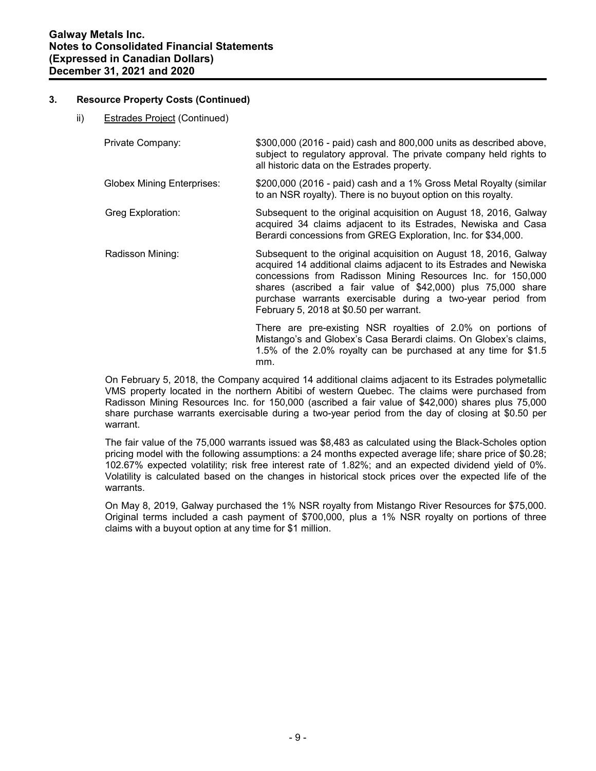# **3. Resource Property Costs (Continued)**

ii) Estrades Project (Continued)

| Private Company:           | \$300,000 (2016 - paid) cash and 800,000 units as described above,<br>subject to regulatory approval. The private company held rights to<br>all historic data on the Estrades property. |
|----------------------------|-----------------------------------------------------------------------------------------------------------------------------------------------------------------------------------------|
| Globex Mining Enterprises: | \$200,000 (2016 - paid) cash and a 1% Gross Metal Royalty (similar<br>to an NSR royalty). There is no buyout option on this royalty.                                                    |

- Greg Exploration: Subsequent to the original acquisition on August 18, 2016, Galway acquired 34 claims adjacent to its Estrades, Newiska and Casa Berardi concessions from GREG Exploration, Inc. for \$34,000.
- Radisson Mining: Subsequent to the original acquisition on August 18, 2016, Galway acquired 14 additional claims adjacent to its Estrades and Newiska concessions from Radisson Mining Resources Inc. for 150,000 shares (ascribed a fair value of \$42,000) plus 75,000 share purchase warrants exercisable during a two-year period from February 5, 2018 at \$0.50 per warrant.

There are pre-existing NSR royalties of 2.0% on portions of Mistango's and Globex's Casa Berardi claims. On Globex's claims, 1.5% of the 2.0% royalty can be purchased at any time for \$1.5 mm.

On February 5, 2018, the Company acquired 14 additional claims adjacent to its Estrades polymetallic VMS property located in the northern Abitibi of western Quebec. The claims were purchased from Radisson Mining Resources Inc. for 150,000 (ascribed a fair value of \$42,000) shares plus 75,000 share purchase warrants exercisable during a two-year period from the day of closing at \$0.50 per warrant.

The fair value of the 75,000 warrants issued was \$8,483 as calculated using the Black-Scholes option pricing model with the following assumptions: a 24 months expected average life; share price of \$0.28; 102.67% expected volatility; risk free interest rate of 1.82%; and an expected dividend yield of 0%. Volatility is calculated based on the changes in historical stock prices over the expected life of the warrants.

On May 8, 2019, Galway purchased the 1% NSR royalty from Mistango River Resources for \$75,000. Original terms included a cash payment of \$700,000, plus a 1% NSR royalty on portions of three claims with a buyout option at any time for \$1 million.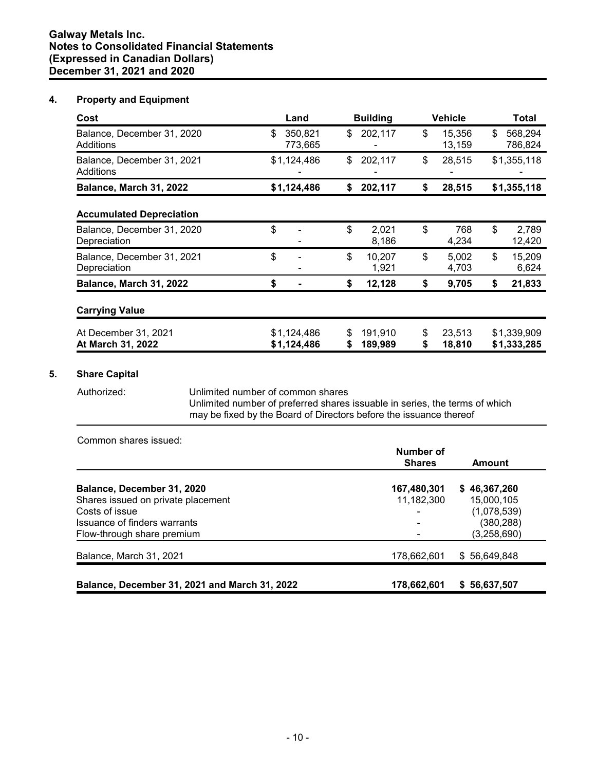# **Galway Metals Inc. Notes to Consolidated Financial Statements (Expressed in Canadian Dollars) December 31, 2021 and 2020**

# **4. Property and Equipment**

| Cost                                       | Land                       | <b>Building</b>               | <b>Vehicle</b>         | <b>Total</b>               |
|--------------------------------------------|----------------------------|-------------------------------|------------------------|----------------------------|
| Balance, December 31, 2020<br>Additions    | \$<br>350,821<br>773,665   | \$<br>202,117                 | \$<br>15,356<br>13,159 | \$<br>568,294<br>786,824   |
| Balance, December 31, 2021<br>Additions    | \$1,124,486                | \$<br>202,117                 | \$<br>28,515           | \$1,355,118                |
| Balance, March 31, 2022                    | \$1,124,486                | 202,117<br>\$                 | 28,515<br>\$           | \$1,355,118                |
| <b>Accumulated Depreciation</b>            |                            |                               |                        |                            |
| Balance, December 31, 2020<br>Depreciation | \$                         | \$<br>2,021<br>8,186          | \$<br>768<br>4,234     | \$<br>2,789<br>12,420      |
| Balance, December 31, 2021<br>Depreciation | \$                         | \$<br>10,207<br>1,921         | \$<br>5,002<br>4,703   | \$<br>15,209<br>6,624      |
| Balance, March 31, 2022                    | \$                         | \$<br>12,128                  | \$<br>9,705            | \$<br>21,833               |
| <b>Carrying Value</b>                      |                            |                               |                        |                            |
| At December 31, 2021<br>At March 31, 2022  | \$1,124,486<br>\$1,124,486 | 191,910<br>\$<br>189,989<br>S | 23,513<br>\$<br>18,810 | \$1,339,909<br>\$1,333,285 |

# **5. Share Capital**

Authorized: Unlimited number of common shares

Unlimited number of preferred shares issuable in series, the terms of which may be fixed by the Board of Directors before the issuance thereof

Common shares issued:

|                                               | Number of<br><b>Shares</b> | Amount       |
|-----------------------------------------------|----------------------------|--------------|
| Balance, December 31, 2020                    | 167,480,301                | \$46,367,260 |
| Shares issued on private placement            | 11,182,300                 | 15,000,105   |
| Costs of issue                                | ۰                          | (1,078,539)  |
| Issuance of finders warrants                  | $\overline{\phantom{a}}$   | (380, 288)   |
| Flow-through share premium                    |                            | (3,258,690)  |
| Balance, March 31, 2021                       | 178,662,601                | \$56,649,848 |
|                                               |                            |              |
| Balance, December 31, 2021 and March 31, 2022 | 178,662,601                | \$56,637,507 |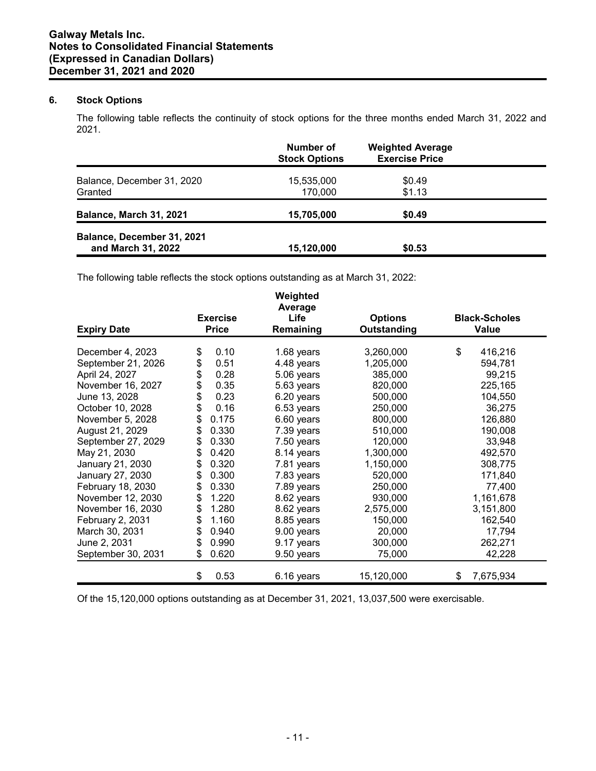# **6. Stock Options**

The following table reflects the continuity of stock options for the three months ended March 31, 2022 and 2021.

|                            | Number of<br><b>Stock Options</b> | <b>Weighted Average</b><br><b>Exercise Price</b> |  |
|----------------------------|-----------------------------------|--------------------------------------------------|--|
| Balance, December 31, 2020 | 15,535,000                        | \$0.49                                           |  |
| Granted                    | 170.000                           | \$1.13                                           |  |
| Balance, March 31, 2021    | 15,705,000                        | \$0.49                                           |  |
| Balance, December 31, 2021 |                                   |                                                  |  |
| and March 31, 2022         | 15,120,000                        | \$0.53                                           |  |

The following table reflects the stock options outstanding as at March 31, 2022:

| <b>Expiry Date</b> | <b>Exercise</b><br><b>Price</b> | Weighted<br>Average<br>Life<br>Remaining | <b>Options</b><br>Outstanding | <b>Black-Scholes</b><br><b>Value</b> |
|--------------------|---------------------------------|------------------------------------------|-------------------------------|--------------------------------------|
| December 4, 2023   | 0.10<br>\$                      | 1.68 years                               | 3,260,000                     | \$<br>416,216                        |
| September 21, 2026 | \$<br>0.51                      | 4.48 years                               | 1,205,000                     | 594,781                              |
| April 24, 2027     | \$<br>0.28                      | 5.06 years                               | 385,000                       | 99,215                               |
| November 16, 2027  | \$<br>0.35                      | 5.63 years                               | 820,000                       | 225,165                              |
| June 13, 2028      | \$<br>0.23                      | 6.20 years                               | 500,000                       | 104,550                              |
| October 10, 2028   | \$<br>0.16                      | 6.53 years                               | 250,000                       | 36,275                               |
| November 5, 2028   | \$<br>0.175                     | 6.60 years                               | 800,000                       | 126,880                              |
| August 21, 2029    | \$<br>0.330                     | 7.39 years                               | 510,000                       | 190,008                              |
| September 27, 2029 | \$<br>0.330                     | 7.50 years                               | 120,000                       | 33,948                               |
| May 21, 2030       | \$<br>0.420                     | 8.14 years                               | 1,300,000                     | 492,570                              |
| January 21, 2030   | \$<br>0.320                     | 7.81 years                               | 1,150,000                     | 308,775                              |
| January 27, 2030   | \$<br>0.300                     | 7.83 years                               | 520,000                       | 171,840                              |
| February 18, 2030  | \$<br>0.330                     | 7.89 years                               | 250,000                       | 77,400                               |
| November 12, 2030  | \$<br>1.220                     | 8.62 years                               | 930,000                       | 1,161,678                            |
| November 16, 2030  | \$<br>1.280                     | 8.62 years                               | 2,575,000                     | 3,151,800                            |
| February 2, 2031   | \$<br>1.160                     | 8.85 years                               | 150,000                       | 162,540                              |
| March 30, 2031     | \$<br>0.940                     | 9.00 years                               | 20,000                        | 17,794                               |
| June 2, 2031       | \$<br>0.990                     | 9.17 years                               | 300,000                       | 262,271                              |
| September 30, 2031 | 0.620<br>\$                     | 9.50 years                               | 75,000                        | 42,228                               |
|                    | \$<br>0.53                      | 6.16 years                               | 15,120,000                    | 7,675,934<br>\$                      |

Of the 15,120,000 options outstanding as at December 31, 2021, 13,037,500 were exercisable.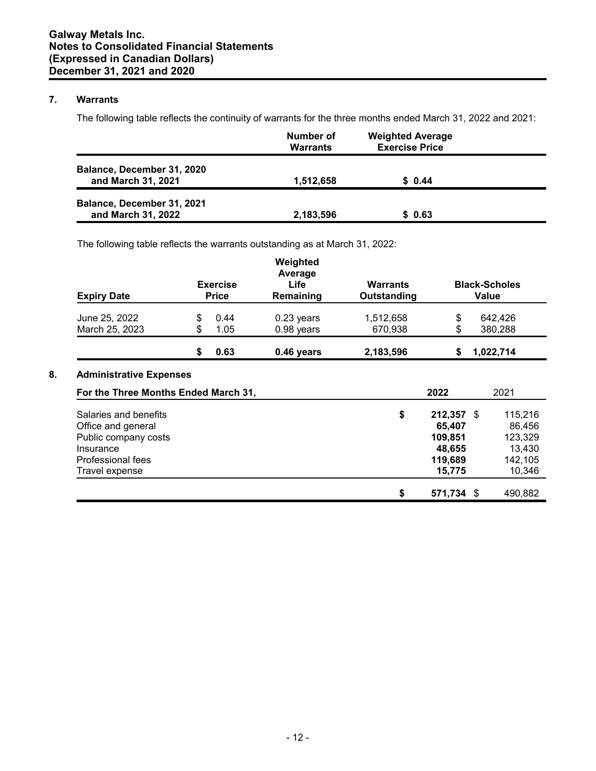# **7. Warrants**

The following table reflects the continuity of warrants for the three months ended March 31, 2022 and 2021:

|                                                  | Number of<br><b>Warrants</b> | <b>Weighted Average</b><br><b>Exercise Price</b> |  |
|--------------------------------------------------|------------------------------|--------------------------------------------------|--|
| Balance, December 31, 2020<br>and March 31, 2021 | 1,512,658                    | \$0.44                                           |  |
| Balance, December 31, 2021<br>and March 31, 2022 | 2,183,596                    | \$ 0.63                                          |  |

The following table reflects the warrants outstanding as at March 31, 2022:

| <b>Expiry Date</b>                   | <b>Exercise</b><br><b>Price</b> |      | Weighted<br>Average<br>Life<br>Remaining | <b>Warrants</b><br>Outstanding | <b>Black-Scholes</b><br>Value |           |
|--------------------------------------|---------------------------------|------|------------------------------------------|--------------------------------|-------------------------------|-----------|
| June 25, 2022                        | \$                              | 0.44 | $0.23$ years                             | 1,512,658                      | \$                            | 642.426   |
| March 25, 2023                       | \$                              | 1.05 | 0.98 years                               | 670,938                        | \$                            | 380,288   |
|                                      | \$                              | 0.63 | 0.46 years                               | 2,183,596                      | S                             | 1,022,714 |
| <b>Administrative Expenses</b>       |                                 |      |                                          |                                |                               |           |
| For the Three Months Ended March 31, |                                 |      |                                          |                                | 2022                          | 2021      |

| Salaries and benefits | \$<br>212,357 \$      | 115.216 |
|-----------------------|-----------------------|---------|
| Office and general    | 65.407                | 86,456  |
| Public company costs  | 109,851               | 123,329 |
| Insurance             | 48,655                | 13,430  |
| Professional fees     | 119,689               | 142,105 |
| Travel expense        | 15,775                | 10,346  |
|                       | \$<br>571,734<br>- \$ | 490,882 |
|                       |                       |         |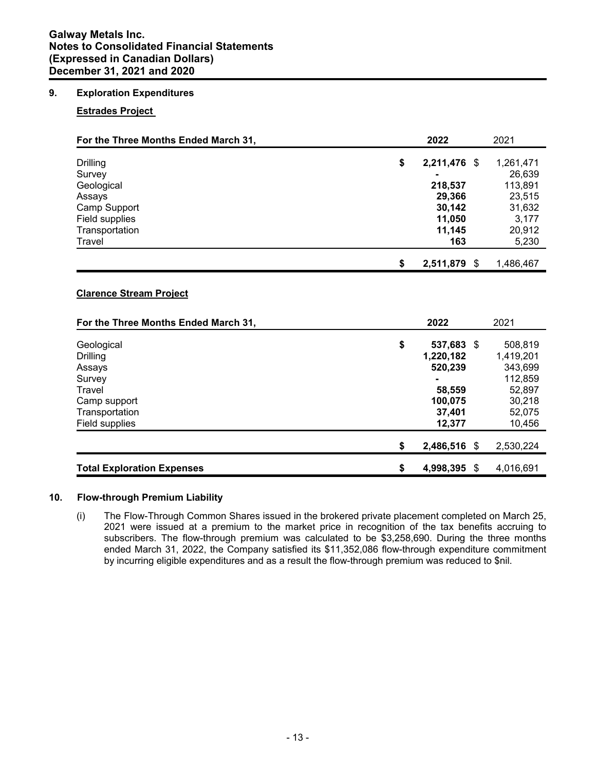# **Galway Metals Inc. Notes to Consolidated Financial Statements (Expressed in Canadian Dollars) December 31, 2021 and 2020**

# **9. Exploration Expenditures**

# **Estrades Project**

| For the Three Months Ended March 31,                                                                            | 2022                                                                              | 2021                                                                               |
|-----------------------------------------------------------------------------------------------------------------|-----------------------------------------------------------------------------------|------------------------------------------------------------------------------------|
| <b>Drilling</b><br>Survey<br>Geological<br>Assays<br>Camp Support<br>Field supplies<br>Transportation<br>Travel | \$<br>2,211,476 \$<br>218,537<br>29,366<br>30,142<br>11,050<br>11,145<br>163      | 1,261,471<br>26,639<br>113,891<br>23,515<br>31,632<br>3,177<br>20,912<br>5,230     |
|                                                                                                                 | \$<br>2,511,879<br>\$                                                             | 1,486,467                                                                          |
| <b>Clarence Stream Project</b><br>For the Three Months Ended March 31,                                          | 2022                                                                              | 2021                                                                               |
| Geological<br><b>Drilling</b><br>Assays<br>Survey<br>Travel<br>Camp support<br>Transportation<br>Field supplies | \$<br>537,683 \$<br>1,220,182<br>520,239<br>58,559<br>100,075<br>37,401<br>12,377 | 508,819<br>1,419,201<br>343,699<br>112,859<br>52,897<br>30,218<br>52,075<br>10,456 |
|                                                                                                                 | \$<br>2,486,516 \$                                                                | 2,530,224                                                                          |

# **10. Flow-through Premium Liability**

(i) The Flow-Through Common Shares issued in the brokered private placement completed on March 25, 2021 were issued at a premium to the market price in recognition of the tax benefits accruing to subscribers. The flow-through premium was calculated to be \$3,258,690. During the three months ended March 31, 2022, the Company satisfied its \$11,352,086 flow-through expenditure commitment by incurring eligible expenditures and as a result the flow-through premium was reduced to \$nil.

**Total Exploration Expenses \$ 4,998,395** \$ 4,016,691